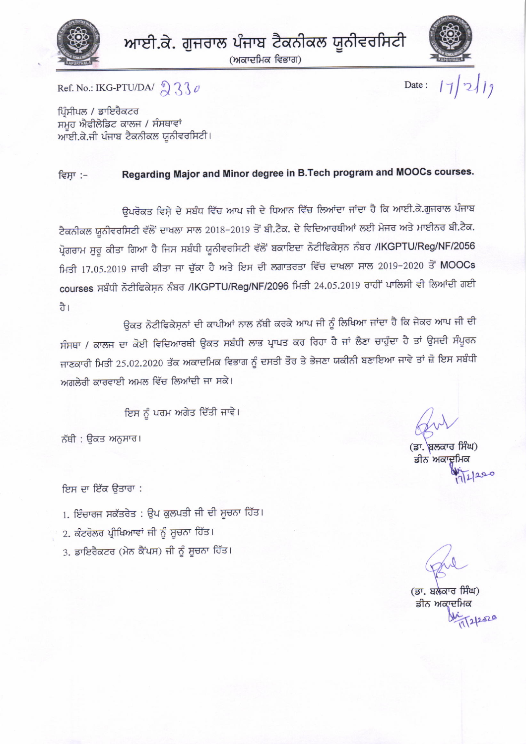

ਆਈ.ਕੇ. ਗੁਜਰਾਲ ਪੰਜਾਬ ਟੈਕਨੀਕਲ ਯੂਨੀਵਰਸਿਟੀ

(ਅਕਾਦਮਿਕ ਵਿਭਾਗ)



 $17|2119$ Date:

Ref. No.: IKG-PTU/DA/  $\frac{1}{2}$  3  $\frac{1}{2}$ 

ਪਿੰਸੀਪਲ / ਡਾਇਰੈਕਟਰ ਸਮੂਹ ਐਫੀਲੇਡਿਟ ਕਾਲਜ / ਸੰਸਥਾਵਾਂ ਆਈ.ਕੇ.ਜੀ ਪੰਜਾਬ ਟੈਕਨੀਕਲ ਯੂਨੀਵਰਸਿਟੀ।

#### Regarding Major and Minor degree in B.Tech program and MOOCs courses. ਵਿਸਾ :-

ਉਪਰੋਕਤ ਵਿਸ਼ੇ ਦੇ ਸਬੰਧ ਵਿੱਚ ਆਪ ਜੀ ਦੇ ਧਿਆਨ ਵਿੱਚ ਲਿਆਂਦਾ ਜਾਂਦਾ ਹੈ ਕਿ ਆਈ.ਕੇ.ਗੁਜਰਾਲ ਪੰਜਾਬ ਟੈਕਨੀਕਲ ਯੂਨੀਵਰਸਿਟੀ ਵੱਲੋਂ ਦਾਖਲਾ ਸਾਲ 2018-2019 ਤੋਂ ਬੀ.ਟੈਕ. ਦੇ ਵਿਦਿਆਰਥੀਆਂ ਲਈ ਮੇਜਰ ਅਤੇ ਮਾਈਨਰ ਬੀ.ਟੈਕ. ਪ੍ਰੋਗਰਾਮ ਸੂਰੂ ਕੀਤਾ ਗਿਆ ਹੈ ਜਿਸ ਸਬੰਧੀ ਯੂਨੀਵਰਸਿਟੀ ਵੱਲੋਂ ਬਕਾਇਦਾ ਨੋਟੀਫਿਕੇਸ਼ਨ ਨੰਬਰ /IKGPTU/Reg/NF/2056 ਮਿਤੀ 17.05.2019 ਜਾਰੀ ਕੀਤਾ ਜਾ ਚੁੱਕਾ ਹੈ ਅਤੇ ਇਸ ਦੀ ਲਗਾਤਰਤਾ ਵਿੱਚ ਦਾਖਲਾ ਸਾਲ 2019-2020 ਤੋਂ MOOCs courses ਸਬੰਧੀ ਨੋਟੀਫਿਕੇਸ਼ਨ ਨੰਬਰ /IKGPTU/Reg/NF/2096 ਮਿਤੀ 24.05.2019 ਰਾਹੀਂ ਪਾਲਿਸੀ ਵੀ ਲਿਆਂਦੀ ਗਈ ਹੈ।

ਉਕਤ ਨੋਟੀਫਿਕੇਸ਼ਨਾਂ ਦੀ ਕਾਪੀਆਂ ਨਾਲ ਨੱਥੀ ਕਰਕੇ ਆਪ ਜੀ ਨੂੰ ਲਿਖਿਆ ਜਾਂਦਾ ਹੈ ਕਿ ਜੇਕਰ ਆਪ ਜੀ ਦੀ ਸੰਸਥਾ / ਕਾਲਜ ਦਾ ਕੋਈ ਵਿਦਿਆਰਥੀ ਉਕਤ ਸਬੰਧੀ ਲਾਭ ਪ੍ਰਾਪਤ ਕਰ ਰਿਹਾ ਹੈ ਜਾਂ ਲੈਣਾ ਚਾਹੁੰਦਾ ਹੈ ਤਾਂ ਉਸਦੀ ਸੰਪੂਰਨ ਜਾਣਕਾਰੀ ਮਿਤੀ 25.02.2020 ਤੱਕ ਅਕਾਦਮਿਕ ਵਿਭਾਗ ਨੂੰ ਦਸਤੀ ਤੌਰ ਤੇ ਭੇਜਣਾ ਯਕੀਨੀ ਬਣਾਇਆ ਜਾਵੇ ਤਾਂ ਜ਼ੋ ਇਸ ਸਬੰਧੀ ਅਗਲੇਰੀ ਕਾਰਵਾਈ ਅਮਲ ਵਿੱਚ ਲਿਆਂਦੀ ਜਾ ਸਕੇ।

ਇਸ ਨੂੰ ਪਰਮ ਅਗੇਤ ਦਿੱਤੀ ਜਾਵੇ।

ਨੱਥੀ : ਉਕਤ ਅਨੁਸਾਰ।

ਇਸ ਦਾ ਇੱਕ ਉਤਾਰਾ :

1. ਇੰਚਾਰਜ ਸਕੱਤਰੇਤ : ਉਪ ਕੁਲਪਤੀ ਜੀ ਦੀ ਸੂਚਨਾ ਹਿੱਤ।

- 2. ਕੰਟਰੋਲਰ ਪ੍ਰੀਖਿਆਵਾਂ ਜੀ ਨੂੰ ਸੂਚਨਾ ਹਿੱਤ।
- 3. ਡਾਇਰੈਕਟਰ (ਮੇਨ ਕੈਂਪਸ) ਜੀ ਨੂੰ ਸੂਚਨਾ ਹਿੱਤ।

(ਡਾ. ਬਲਕਾਰ ਸਿੰਘ) ਡੀਨ ਅਕਾਦਮਿਕ  $200$ 

(ਡਾ. ਬਲੈਕਾਰ ਸਿੰਘ)

ਡੀਨ ਅਕਾਦਮਿਕ 212520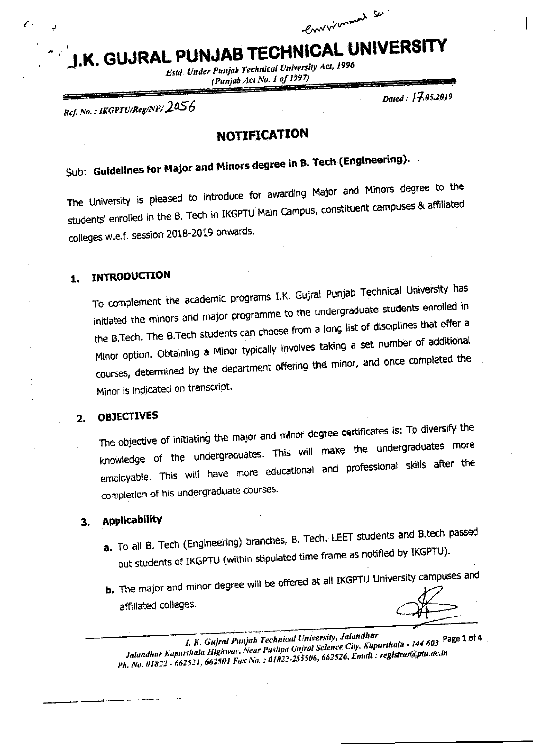# **J.K. GUJRAL PUNJAB TECHNICAL UNIVERSITY**

**Estd. Under Punjab Technical University Act, 1996** (Punjab Act No. 1 of 1997)

Ref. No.: IKGPTU/Reg/NF/2056

Dated: 17.05.2019

Convertiment Se

## **NOTIFICATION**

# Sub: Guidelines for Major and Minors degree in B. Tech (Engineering).

The University is pleased to introduce for awarding Major and Minors degree to the students' enrolled in the B. Tech in IKGPTU Main Campus, constituent campuses & affiliated colleges w.e.f. session 2018-2019 onwards.

#### **INTRODUCTION** 1.

To complement the academic programs I.K. Gujral Punjab Technical University has initiated the minors and major programme to the undergraduate students enrolled in the B.Tech. The B.Tech students can choose from a long list of disciplines that offer a Minor option. Obtaining a Minor typically involves taking a set number of additional courses, determined by the department offering the minor, and once completed the Minor is indicated on transcript.

#### **OBJECTIVES** 2.

The objective of initiating the major and minor degree certificates is: To diversify the knowledge of the undergraduates. This will make the undergraduates more employable. This will have more educational and professional skills after the completion of his undergraduate courses.

#### **Applicability** 3.

- a. To all B. Tech (Engineering) branches, B. Tech. LEET students and B.tech passed out students of IKGPTU (within stipulated time frame as notified by IKGPTU).
- b. The major and minor degree will be offered at all IKGPTU University campuses and affiliated colleges.

I. K. Gujral Punjab Technical University, Jalandhar Jalandhar Kapurthala Highway, Near Pushpa Gujral Science City, Kapurthala - 144 603 Page 1 of 4 Ph. No. 01822 - 662521, 662501 Fax No. : 01822-255506, 662526, Email: registrar@ptu.ac.in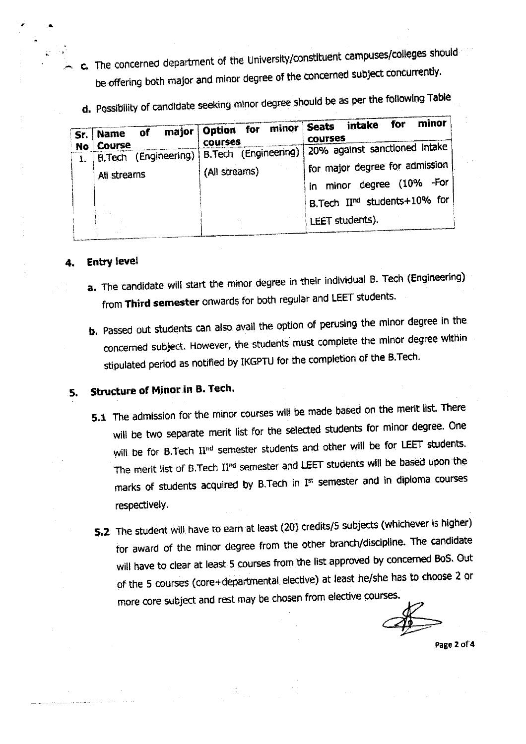- c. The concerned department of the University/constituent campuses/colleges should be offering both major and minor degree of the concerned subject concurrently.
	- d. Possibility of candidate seeking minor degree should be as per the following Table

| Course<br><b>No</b><br>(Engineering)   B.Tech (Engineering)<br><b>B</b> . Tech<br>(All streams)<br>All streams<br>minor degree (10%<br>in l | Sr. | of<br><b>Name</b> | major Option for minor<br><b>COUFSES</b> | minor<br>for<br>intake<br><b>Seats</b><br><b>COURSES</b> |  |  |
|---------------------------------------------------------------------------------------------------------------------------------------------|-----|-------------------|------------------------------------------|----------------------------------------------------------|--|--|
|                                                                                                                                             |     |                   |                                          | 20% against sanctioned intake                            |  |  |
|                                                                                                                                             |     |                   |                                          | for major degree for admission<br>-For                   |  |  |
| LEET students).                                                                                                                             |     |                   |                                          | B.Tech II <sup>nd</sup> students+10% for                 |  |  |

### **Entry level**

- a. The candidate will start the minor degree in their individual B. Tech (Engineering) from Third semester onwards for both regular and LEET students.
- b. Passed out students can also avail the option of perusing the minor degree in the concerned subject. However, the students must complete the minor degree within stipulated period as notified by IKGPTU for the completion of the B.Tech.

#### Structure of Minor in B. Tech. 5.

- 5.1 The admission for the minor courses will be made based on the merit list. There will be two separate merit list for the selected students for minor degree. One will be for B.Tech II<sup>nd</sup> semester students and other will be for LEET students. The merit list of B.Tech II<sup>nd</sup> semester and LEET students will be based upon the marks of students acquired by B.Tech in Ist semester and in diploma courses respectively.
- 5.2 The student will have to earn at least (20) credits/5 subjects (whichever is higher) for award of the minor degree from the other branch/discipline. The candidate will have to clear at least 5 courses from the list approved by concerned BoS. Out of the 5 courses (core+departmental elective) at least he/she has to choose 2 or more core subject and rest may be chosen from elective courses.

Page 2 of 4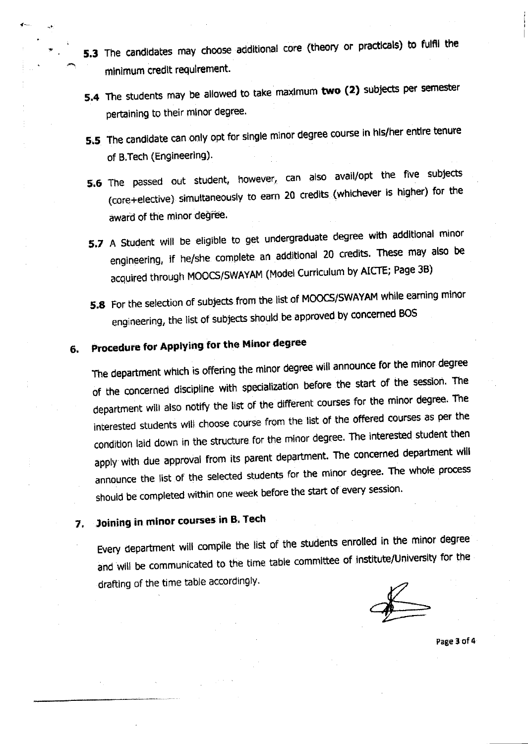- 5.3 The candidates may choose additional core (theory or practicals) to fulfil the minimum credit requirement.
- 5.4 The students may be allowed to take maximum two (2) subjects per semester pertaining to their minor degree.
- 5.5 The candidate can only opt for single minor degree course in his/her entire tenure of B.Tech (Engineering).
- 5.6 The passed out student, however, can also avail/opt the five subjects (core+elective) simultaneously to earn 20 credits (whichever is higher) for the award of the minor degree.
- 5.7 A Student will be eligible to get undergraduate degree with additional minor engineering, if he/she complete an additional 20 credits. These may also be acquired through MOOCS/SWAYAM (Model Curriculum by AICTE; Page 3B)
- 5.8 For the selection of subjects from the list of MOOCS/SWAYAM while earning minor engineering, the list of subjects should be approved by concerned BOS

#### Procedure for Applying for the Minor degree 6.

The department which is offering the minor degree will announce for the minor degree of the concerned discipline with specialization before the start of the session. The department will also notify the list of the different courses for the minor degree. The interested students will choose course from the list of the offered courses as per the condition laid down in the structure for the minor degree. The interested student then apply with due approval from its parent department. The concerned department will announce the list of the selected students for the minor degree. The whole process should be completed within one week before the start of every session.

#### Joining in minor courses in B. Tech 7.

Every department will compile the list of the students enrolled in the minor degree and will be communicated to the time table committee of institute/University for the drafting of the time table accordingly.

Page 3 of 4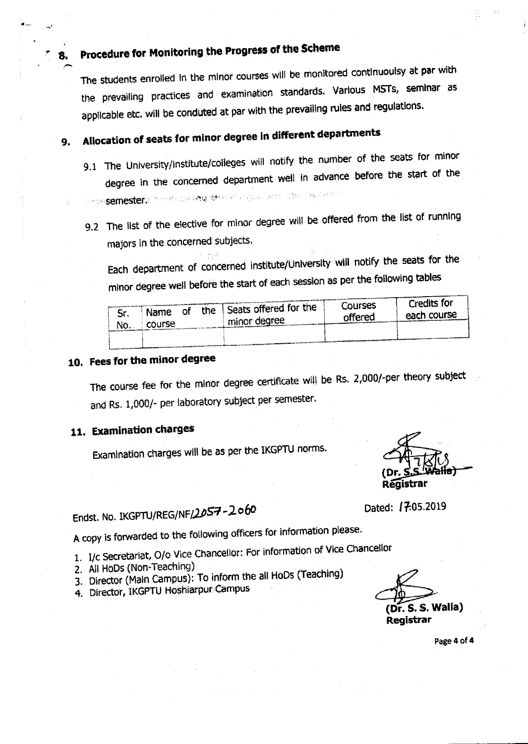# Procedure for Monitoring the Progress of the Scheme

The students enrolled in the minor courses will be monitored continuoulsy at par with the prevailing practices and examination standards. Various MSTs, seminar as applicable etc. will be conduted at par with the prevailing rules and regulations.

### Allocation of seats for minor degree in different departments 9.

- 9.1 The University/institute/colleges will notify the number of the seats for minor degree in the concerned department well in advance before the start of the Devel<mark>semester</mark>s "Sommaling**ing w**hen it regulations of the light-order
- 9.2 The list of the elective for minor degree will be offered from the list of running majors in the concerned subjects.

Each department of concerned institute/University will notify the seats for the minor degree well before the start of each session as per the following tables

| c.<br>JI.<br>No. | Οf<br>Name<br>course | the | I Seats offered for the<br>minor degree | Courses<br>offered | Credits for<br>each course |
|------------------|----------------------|-----|-----------------------------------------|--------------------|----------------------------|
|                  |                      |     |                                         |                    |                            |

# 10. Fees for the minor degree

The course fee for the minor degree certificate will be Rs. 2,000/-per theory subject and Rs. 1,000/- per laboratory subject per semester.

# 11. Examination charges

Examination charges will be as per the IKGPTU norms.

Registrar

Endst. No. IKGPTU/REG/NF/2057-2060

A copy is forwarded to the following officers for information please.

1. I/c Secretariat, O/o Vice Chancellor: For information of Vice Chancellor

- 2. All HoDs (Non-Teaching)
- 3. Director (Main Campus): To inform the all HoDs (Teaching)
- 4. Director, IKGPTU Hoshiarpur Campus

 $(DF, S, S, Walia)$ Registrar

Dated: 17:05.2019

Page 4 of 4